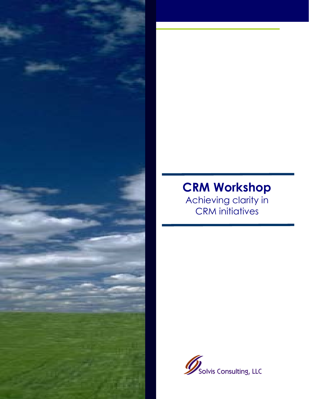

# **CRM Workshop**

Achieving clarity in CRM initiatives

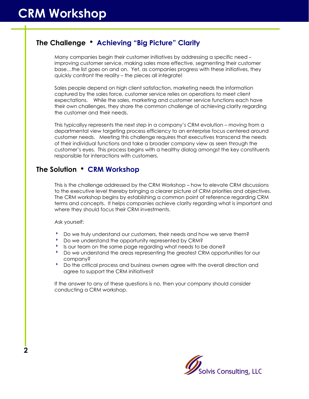## **The Challenge** h **Achieving "Big Picture" Clarity**

Many companies begin their customer initiatives by addressing a specific need – improving customer service, making sales more effective, segmenting their customer base…the list goes on and on. Yet, as companies progress with these initiatives, they quickly confront the reality – the pieces all integrate!

Sales people depend on high client satisfaction, marketing needs the information captured by the sales force, customer service relies on operations to meet client expectations. While the sales, marketing and customer service functions each have their own challenges, they share the common challenge of achieving clarity regarding the customer and their needs.

This typicallyy represents the next step in a company's CRM evolution – moving from a departmental view targeting process efficiency to an enterprise focus centered around customer needs. Meeting this challenge requires that executives transcend the needs of their individual functions and take a broader company view as seen through the customer's eyes. This process begins with a healthy dialog amongst the key constituents responsible for interactions with customers.

## **The Solution** h **CRM Workshop**

This is the challenge addressed by the CRM Workshop – how to elevate CRM discussions to the executive level thereby bringing a clearer picture of CRM priorities and objectives. The CRM workshop begins by establishing a common point of reference regarding CRM terms and concepts. It helps companies achieve clarity regarding what is important and where they should focus their CRM investments.

Ask yourself:

- **b** Do we truly understand our customers, their needs and how we serve them?
- **b** Do we understand the opportunity represented by CRM?
- Is our team on the same page regarding what needs to be done?
- **BEDO** we understand the areas representing the greatest CRM opportunities for our company?
- 8 Do the critical process and business owners agree with the overall direction and agree to support the CRM initiatives?

If the answer to any of these questions is no, then your company should consider conducting a CRM workshop.

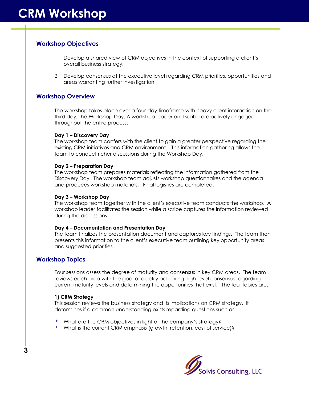## **Workshop Objectives**

- 1. Develop a shared view of CRM objectives in the context of supporting a client's overall business strategy.
- 2. Develop consensus at the executive level regarding CRM priorities, opportunities and areas warranting further investigation.

## **Workshop Overview**

The workshop takes place over a four-day timeframe with heavy client interaction on the third day, the Workshop Day. A workshop leader and scribe are actively engaged throughout the entire process:

#### **Day 1 – Discovery Day**

The workshop team confers with the client to gain a greater perspective regarding the existing CRM initiatives and CRM environment. This information gathering allows the team to conduct richer discussions during the Workshop Day.

#### **Day 2 – Preparation Day**

The workshop team prepares materials reflecting the information gathered from the Discovery Day. The workshop team adjusts workshop questionnaires and the agenda and produces workshop materials. Final logistics are completed.

#### **Day 3 – Workshop Day**

The workshop team together with the client's executive team conducts the workshop. A workshop leader facilitates the session while a scribe captures the information reviewed during the discussions.

#### **Day 4 – Documentation and Presentation Day**

The team finalizes the presentation document and captures key findings. The team then presents this information to the client's executive team outlining key opportunity areas and suggested priorities.

## **Workshop Topics**

**3**

Four sessions assess the degree of maturity and consensus in key CRM areas. The team reviews each area with the goal of quickly achieving high-level consensus regarding current maturity levels and determining the opportunities that exist. The four topics are:

#### **1) CRM Strategy**

This session reviews the business strategy and its implications on CRM strategy. It determines if a common understanding exists regarding questions such as:

- 8 What are the CRM objectives in light of the company's strategy?
- **Mhat is the current CRM emphasis (growth, retention, cost of service)?**

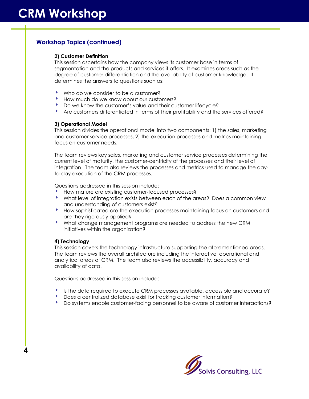## **Workshop Topics (continued)**

#### **2) Customer Definition**

This session ascertains how the company views its customer base in terms of segmentation and the products and services it offers. It examines areas such as the degree of customer differentiation and the availability of customer knowledge. It determines the answers to questions such as:

- \* Who do we consider to be a customer?
- **BETHOW MUCH do we know about our customers?**
- <sup>8</sup> Do we know the customer's value and their customer lifecycle?
- \* Are customers differentiated in terms of their profitability and the services offered?

#### **3) Operational Model**

This session divides the operational model into two components: 1) the sales, marketing and customer service processes, 2) the execution processes and metrics maintaining focus on customer needs.

The team reviews key sales, marketing and customer service processes determining the current level of maturity, the customer-centricity of the processes and their level of integration. The team also reviews the processes and metrics used to manage the dayto-day execution of the CRM processes.

Questions addressed in this session include:

- **BETHOW mature are existing customer-focused processes?**
- 8 What level of integration exists between each of the areas? Does a common view and understanding of customers exist?
- **BETHOW** sophisticated are the execution processes maintaining focus on customers and are they rigorously applied?
- 8 What change management programs are needed to address the new CRM initiatives within the organization?

#### **4) Technology**

**4**

This session covers the technology infrastructure supporting the aforementioned areas. The team reviews the overall architecture including the interactive, operational and analytical areas of CRM. The team also reviews the accessibility, accuracy and availability of data.

Questions addressed in this session include:

- **IS the data required to execute CRM processes available, accessible and accurate?**
- **BEDOES A CENTED DATABASE OF A LOCAL PROPERTY CONTRACTS**
- **b** Do systems enable customer-facing personnel to be aware of customer interactions?

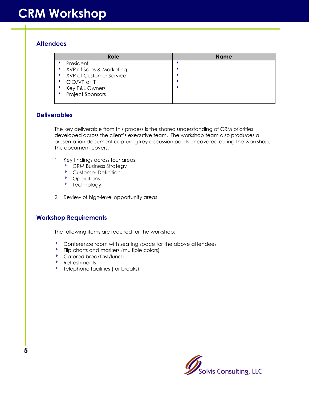## **Attendees**

| Role                     | <b>Name</b> |
|--------------------------|-------------|
| President                |             |
| XVP of Sales & Marketing |             |
| XVP of Customer Service  |             |
| CIO/VP of IT             |             |
| Key P&L Owners           |             |
| Project Sponsors         |             |
|                          |             |

## **Deliverables**

The key deliverable from this process is the shared understanding of CRM priorities developed across the client's executive team. The workshop team also produces a presentation document capturing key discussion points uncovered during the workshop. This document covers:

- 1. Key findings across four areas:
	- **CRM Business Strategy**
	- **Customer Definition**
	- Operations
	- **b** Technology
- 2. Review of high-level opportunity areas.

## **Workshop Requirements**

The following items are required for the workshop:

- **Conference room with seating space for the above attendees**
- <sup>8</sup> Flip charts and markers (multiple colors)
- **Catered breakfast/lunch**
- **Refreshments**
- **BEE THE TELEPHONE FACILITIES (for breaks)**

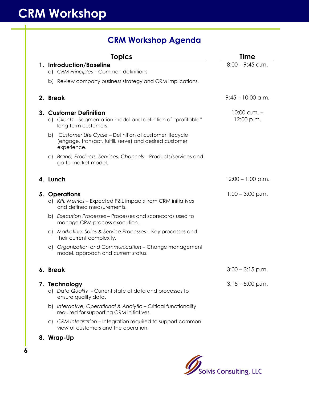## **CRM Workshop Agenda**

| <b>Topics</b>                                                                                                                       | Time                           |
|-------------------------------------------------------------------------------------------------------------------------------------|--------------------------------|
| 1. Introduction/Baseline                                                                                                            | $8:00 - 9:45$ a.m.             |
| a) CRM Principles - Common definitions                                                                                              |                                |
| b) Review company business strategy and CRM implications.                                                                           |                                |
| 2. Break                                                                                                                            | $9:45 - 10:00$ a.m.            |
| 3. Customer Definition<br>a) Clients - Segmentation model and definition of "profitable"<br>long-term customers.                    | $10:00$ a.m. $-$<br>12:00 p.m. |
| b) Customer Life Cycle - Definition of customer lifecycle<br>(engage, transact, fulfill, serve) and desired customer<br>experience. |                                |
| c) Brand, Products, Services, Channels - Products/services and<br>go-to-market model.                                               |                                |
| 4. Lunch                                                                                                                            | $12:00 - 1:00$ p.m.            |
| 5. Operations<br>a) KPI, Metrics - Expected P&L impacts from CRM initiatives<br>and defined measurements.                           | $1:00 - 3:00$ p.m.             |
| b) Execution Processes - Processes and scorecards used to<br>manage CRM process execution.                                          |                                |
| c) Marketing, Sales & Service Processes - Key processes and<br>their current complexity.                                            |                                |
| d) Organization and Communication - Change management<br>model, approach and current status.                                        |                                |
| 6. Break                                                                                                                            | $3:00 - 3:15$ p.m.             |
| 7. Technology<br>a) Data Quality - Current state of data and processes to<br>ensure quality data.                                   | $3:15 - 5:00$ p.m.             |
| b) Interactive, Operational & Analytic - Critical functionality<br>required for supporting CRM initiatives.                         |                                |
| c) CRM Integration – Integration required to support common<br>view of customers and the operation.                                 |                                |

**8. Wrap-Up** 

**6**